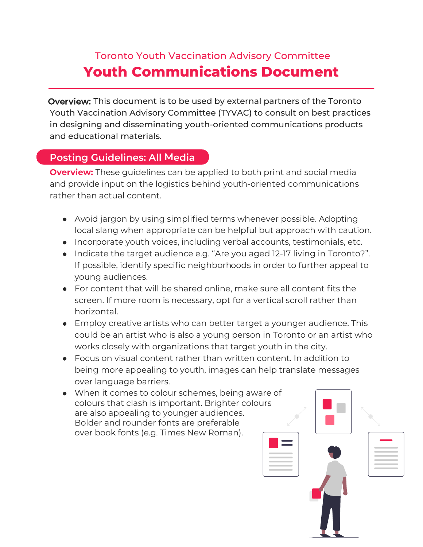## Toronto Youth Vaccination Advisory Committee **Youth Communications Document**

Overview: This document is to be used by external partners of the Toronto Youth Vaccination Advisory Committee (TYVAC) to consult on best practices in designing and disseminating youth-oriented communications products and educational materials.

## **Posting Guidelines: All Media**

**Overview:** These guidelines can be applied to both print and social media and provide input on the logistics behind youth-oriented communications rather than actual content.

- Avoid jargon by using simplified terms whenever possible. Adopting local slang when appropriate can be helpful but approach with caution.
- Incorporate youth voices, including verbal accounts, testimonials, etc.
- Indicate the target audience e.g. "Are you aged 12-17 living in Toronto?". If possible, identify specific neighborhoods in order to further appeal to young audiences.
- For content that will be shared online, make sure all content fits the screen. If more room is necessary, opt for a vertical scroll rather than horizontal.
- Employ creative artists who can better target a younger audience. This could be an artist who is also a young person in Toronto or an artist who works closely with organizations that target youth in the city.
- Focus on visual content rather than written content. In addition to being more appealing to youth, images can help translate messages over language barriers.
- When it comes to colour schemes, being aware of colours that clash is important. Brighter colours are also appealing to younger audiences. Bolder and rounder fonts are preferable over book fonts (e.g. Times New Roman).

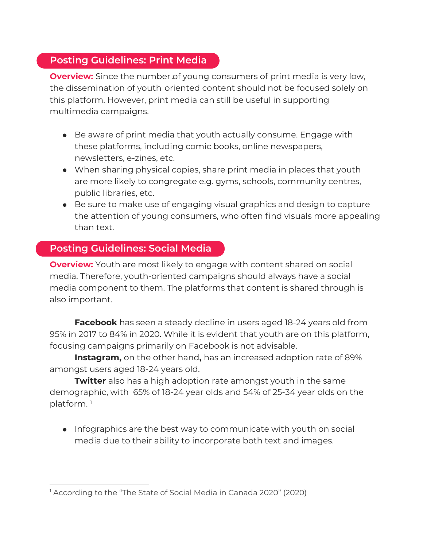## **Posting Guidelines: Print Media**

this platform. However, print media can still be useful in supporting multimedia campaigns. **Overview:** Since the number of young consumers of print media is very low, the dissemination of youth oriented content should not be focused solely on

- Be aware of print media that youth actually consume. Engage with these platforms, including comic books, online newspapers, newsletters, e-zines, etc.
- When sharing physical copies, share print media in places that youth are more likely to congregate e.g. gyms, schools, community centres, public libraries, etc.
- Be sure to make use of engaging visual graphics and design to capture the attention of young consumers, who often find visuals more appealing than text.

## **Posting Guidelines: Social Media**

**Overview:** Youth are most likely to engage with content shared on social media. Therefore, youth-oriented campaigns should always have a social media component to them. The platforms that content is shared through is also important.

**Facebook** has seen a steady decline in users aged 18-24 years old from 95% in 2017 to 84% in 2020. While it is evident that youth are on this platform, focusing campaigns primarily on Facebook is not advisable.

**Instagram,** on the other hand**,** has an increased adoption rate of 89% amongst users aged 18-24 years old.

**Twitter** also has a high adoption rate amongst youth in the same demographic, with 65% of 18-24 year olds and 54% of 25-34 year olds on the platform.<sup>1</sup>

• Infographics are the best way to communicate with youth on social media due to their ability to incorporate both text and images.

<sup>&</sup>lt;sup>1</sup> According to the "The State of Social Media in Canada 2020" (2020)